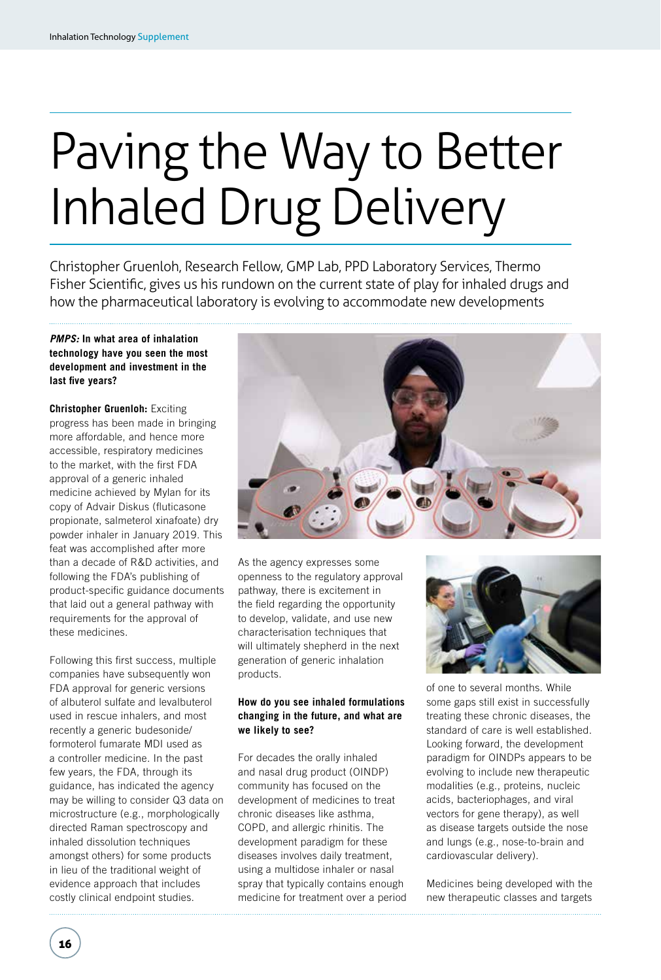# Paving the Way to Better Inhaled Drug Delivery

Christopher Gruenloh, Research Fellow, GMP Lab, PPD Laboratory Services, Thermo Fisher Scientific, gives us his rundown on the current state of play for inhaled drugs and how the pharmaceutical laboratory is evolving to accommodate new developments

# *PMPS:* **In what area of inhalation technology have you seen the most development and investment in the last five years?**

**Christopher Gruenloh:** Exciting progress has been made in bringing more affordable, and hence more accessible, respiratory medicines to the market, with the first FDA approval of a generic inhaled medicine achieved by Mylan for its copy of Advair Diskus (fluticasone propionate, salmeterol xinafoate) dry powder inhaler in January 2019. This feat was accomplished after more than a decade of R&D activities, and following the FDA's publishing of product-specific guidance documents that laid out a general pathway with requirements for the approval of these medicines.

Following this first success, multiple companies have subsequently won FDA approval for generic versions of albuterol sulfate and levalbuterol used in rescue inhalers, and most recently a generic budesonide/ formoterol fumarate MDI used as a controller medicine. In the past few years, the FDA, through its guidance, has indicated the agency may be willing to consider Q3 data on microstructure (e.g., morphologically directed Raman spectroscopy and inhaled dissolution techniques amongst others) for some products in lieu of the traditional weight of evidence approach that includes costly clinical endpoint studies.



As the agency expresses some openness to the regulatory approval pathway, there is excitement in the field regarding the opportunity to develop, validate, and use new characterisation techniques that will ultimately shepherd in the next generation of generic inhalation products.

# **How do you see inhaled formulations changing in the future, and what are we likely to see?**

For decades the orally inhaled and nasal drug product (OINDP) community has focused on the development of medicines to treat chronic diseases like asthma, COPD, and allergic rhinitis. The development paradigm for these diseases involves daily treatment, using a multidose inhaler or nasal spray that typically contains enough medicine for treatment over a period



of one to several months. While some gaps still exist in successfully treating these chronic diseases, the standard of care is well established. Looking forward, the development paradigm for OINDPs appears to be evolving to include new therapeutic modalities (e.g., proteins, nucleic acids, bacteriophages, and viral vectors for gene therapy), as well as disease targets outside the nose and lungs (e.g., nose-to-brain and cardiovascular delivery).

Medicines being developed with the new therapeutic classes and targets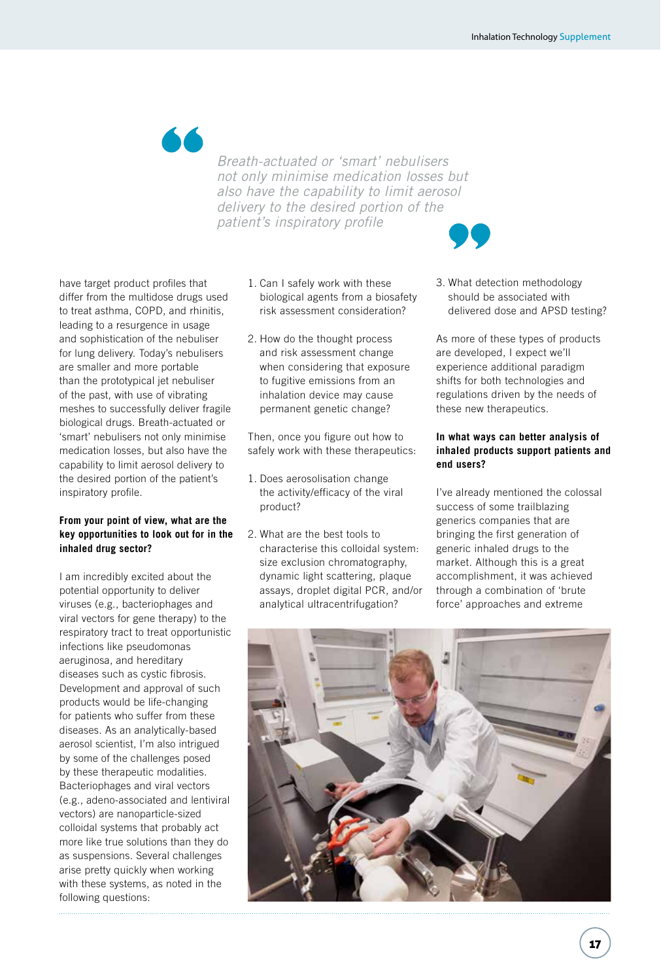

*Breath-actuated or 'smart' nebulisers not only minimise medication losses but also have the capability to limit aerosol delivery to the desired portion of the patient's inspiratory profile*

have target product profiles that differ from the multidose drugs used to treat asthma, COPD, and rhinitis, leading to a resurgence in usage and sophistication of the nebuliser for lung delivery. Today's nebulisers are smaller and more portable than the prototypical jet nebuliser of the past, with use of vibrating meshes to successfully deliver fragile biological drugs. Breath-actuated or 'smart' nebulisers not only minimise medication losses, but also have the capability to limit aerosol delivery to the desired portion of the patient's inspiratory profile.

### **From your point of view, what are the key opportunities to look out for in the inhaled drug sector?**

I am incredibly excited about the potential opportunity to deliver viruses (e.g., bacteriophages and viral vectors for gene therapy) to the respiratory tract to treat opportunistic infections like pseudomonas aeruginosa, and hereditary diseases such as cystic fibrosis. Development and approval of such products would be life-changing for patients who suffer from these diseases. As an analytically-based aerosol scientist, I'm also intrigued by some of the challenges posed by these therapeutic modalities. Bacteriophages and viral vectors (e.g., adeno-associated and lentiviral vectors) are nanoparticle-sized colloidal systems that probably act more like true solutions than they do as suspensions. Several challenges arise pretty quickly when working with these systems, as noted in the following questions:

- 1. Can I safely work with these biological agents from a biosafety risk assessment consideration?
- 2. How do the thought process and risk assessment change when considering that exposure to fugitive emissions from an inhalation device may cause permanent genetic change?

Then, once you figure out how to safely work with these therapeutics:

- 1. Does aerosolisation change the activity/efficacy of the viral product?
- 2. What are the best tools to characterise this colloidal system: size exclusion chromatography, dynamic light scattering, plaque assays, droplet digital PCR, and/or analytical ultracentrifugation?

3. What detection methodology should be associated with delivered dose and APSD testing?

As more of these types of products are developed, I expect we'll experience additional paradigm shifts for both technologies and regulations driven by the needs of these new therapeutics.

## **In what ways can better analysis of inhaled products support patients and end users?**

I've already mentioned the colossal success of some trailblazing generics companies that are bringing the first generation of generic inhaled drugs to the market. Although this is a great accomplishment, it was achieved through a combination of 'brute force' approaches and extreme